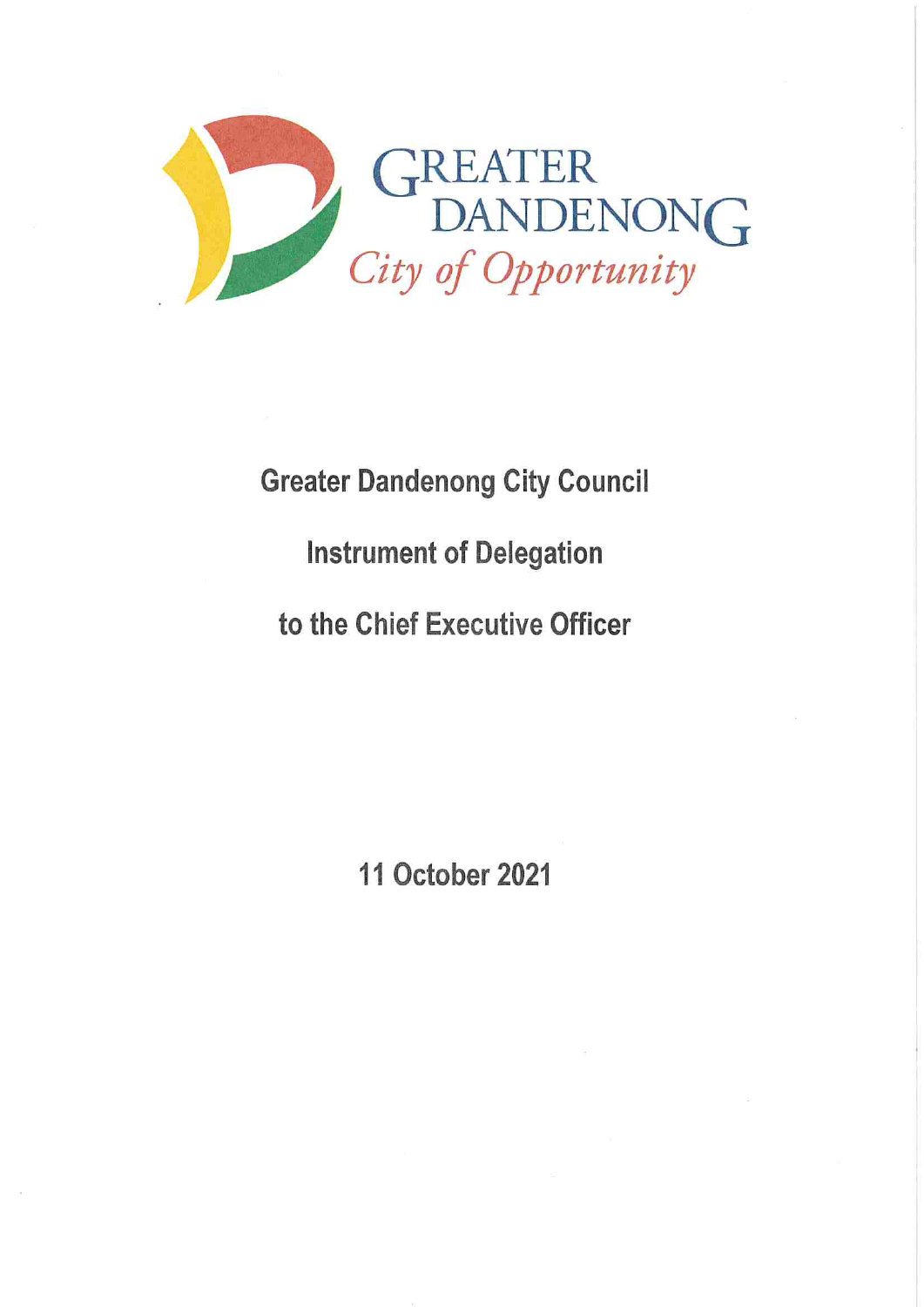

## Greater Dandenong City Council Instrument of Delegation to the Chief Executive Officer

11 October 2021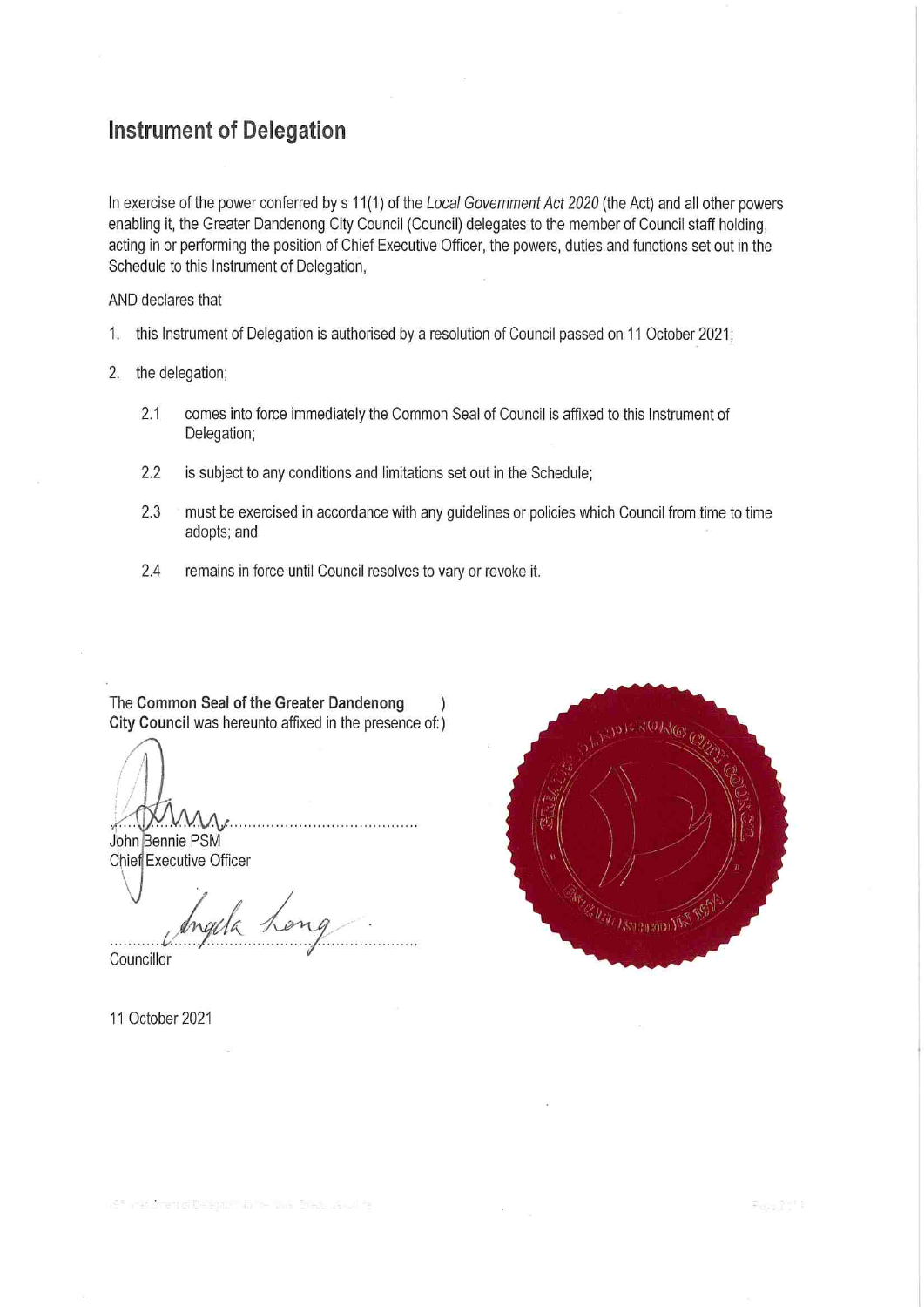## Instrument of Delegation

In exercise of the power conferred by s 11(1) of the Local Government Act 2020 (the Act) and all other powers enabling it, the Greater Dandenong City Council (Council) delegates to the member of Council staff holding, acting in or performing the position of Chief Executive Officer, the powers, duties and functions set out in the Schedule to this Instrument of Delegation,

AND declares that

- 1. this Instrument of Delegation is authorised by a resolution of Council passed on 11 October 2021;
- 2. the delegation;
	- 2.1 comes into force immediately the Common Seal of Council is affixed to this Instrument of Delegation;
	- 2.2 is subject to any conditions and limitations set out in the Schedule;
	- 2.3 must be exercised in accordance with any guidelines or policies which Council from time to time adopts; and
	- 2.4 remains in force until Council resolves to vary or revoke it.

The Common Seal of the Greater Dandenong ) City Council was hereunto affixed in the presence of:)

John Bennie PSM

Chief Executive Officer

rgela Councillor

11 0ctober 2021

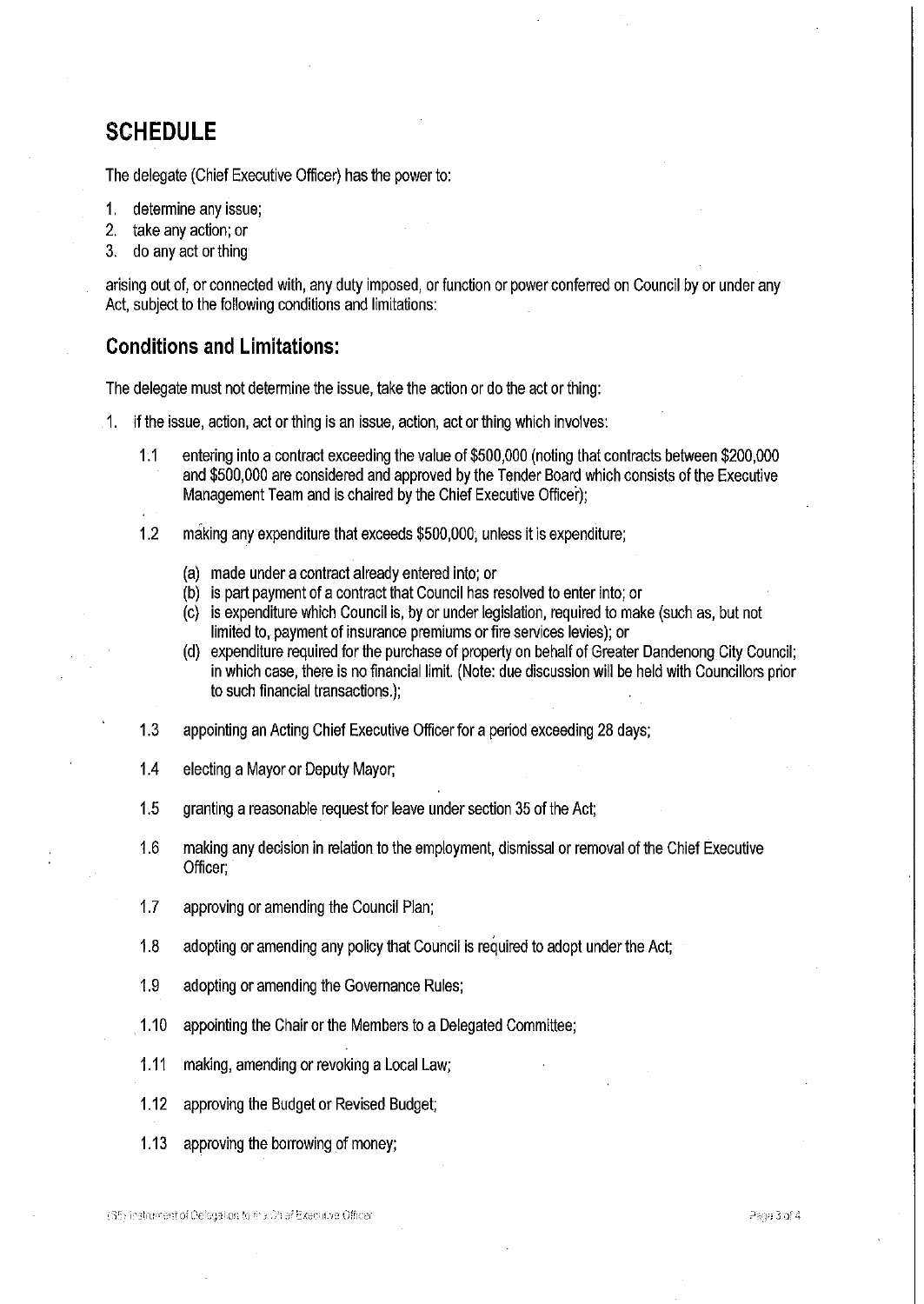## SCHEDULE

The delegate (Chief Executive Officer) has the power to:

- 1. determine any issue;
- 2. take any action; or
- 3. do any act or thing

arising out of, or connected with, any duty imposed, or function or power conferred on Council by or under any Act, subject to the following conditions and limitations:

## Conditions and Limitations:

The delegate must not determine the issue, take the action or do the act or thing:

- 1. if the issue, action, act or thing is an issue, action, act or thing which involves:
	- 1.1 entering into a contract exceeding the value of \$500,000 (noting that contracts between \$200,000 and \$500,000 are considered and approved bythe Tender Board which consists ofthe Executive Management Team and is chaired by the Chief Executive Officer);
	- 1.2 making any expenditure that exceeds \$500,000, unless it is expenditure;
		- (a) made under a contract already entered into; or
		- (b) is part payment of a contract that Council has resolved to enter into; or
		- (c) is expenditure which Council is, by or under legislation, required to make (such as, but not limited to, payment of insurance premiums or fire services levies); or
		- (d) expenditure required for the purchase of property on behalf of Greater Dandenong City Council; in which case, there is no financial limit. (Note: due discussion will be held with Councillors prior to such financial transactions.);
	- 1.3 appointing an Acting Chief Executive Officer for a period exceeding 28 days;
	- 1.4 electing a Mayor or Deputy Mayor;
	- 1.5 granting a reasonable request for leave under section 35 of the Act:
	- 1.6 making any decision in relation to the employment, dismissal or removal of the Chief Executive Officer;
	- 1.7 approving or amending the Council Plan;
	- 1.8 adopting or amending any policy that Council is required to adopt under the Act;
	- 1.9 adopting or amending the Governance Rules;
	- 1.10 appointing the Chair or the Members to a Delegated Committee;
	- 1.11 making, amending or revoking a Local Law;
	- 1.12 approving the Budget or Revised Budget;
	- 1.13 approving the borrowing of money;